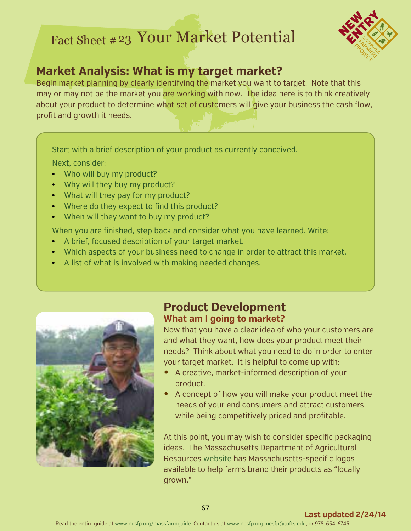# Fact Sheet # 23 Your Market Potential



# **Market Analysis: What is my target market?**

Begin market planning by clearly identifying the market you want to target. Note that this may or may not be the market you are working with now. The idea here is to think creatively about your product to determine what set of customers will give your business the cash flow, profit and growth it needs.

Start with a brief description of your product as currently conceived.

Next, consider:

- Who will buy my product?
- Why will they buy my product?
- What will they pay for my product?
- Where do they expect to find this product?
- When will they want to buy my product?

When you are finished, step back and consider what you have learned. Write:

- A brief, focused description of your target market.
- Which aspects of your business need to change in order to attract this market.
- A list of what is involved with making needed changes.



#### **Product Development What am I going to market?**

Now that you have a clear idea of who your customers are and what they want, how does your product meet their needs? Think about what you need to do in order to enter your target market. It is helpful to come up with:

- A creative, market-informed description of your product.
- A concept of how you will make your product meet the needs of your end consumers and attract customers while being competitively priced and profitable.

At this point, you may wish to consider specific packaging ideas. The Massachusetts Department of Agricultural Resources [website](http://www.mass.gov/eea/agencies/agr/markets/logo-program/) has Massachusetts-specific logos available to help farms brand their products as "locally grown."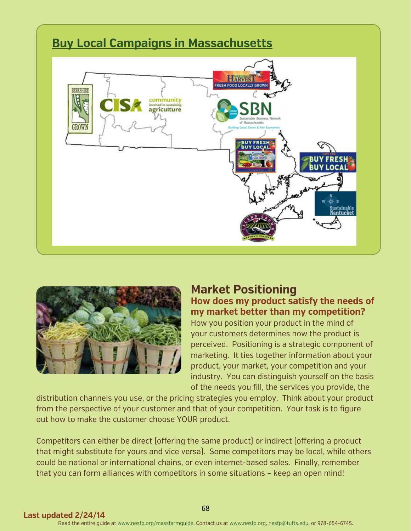### **[Buy Local Campaigns](http://www.mass.gov/agr/massgrown/buy-locals.htm) in Massachusetts**





#### **Market Positioning How does my product satisfy the needs of my market better than my competition?**

How you position your product in the mind of your customers determines how the product is perceived. Positioning is a strategic component of marketing. It ties together information about your product, your market, your competition and your industry. You can distinguish yourself on the basis of the needs you fill, the services you provide, the

distribution channels you use, or the pricing strategies you employ. Think about your product from the perspective of your customer and that of your competition. Your task is to figure out how to make the customer choose YOUR product.

Competitors can either be direct (offering the same product) or indirect (offering a product that might substitute for yours and vice versa). Some competitors may be local, while others could be national or international chains, or even internet-based sales. Finally, remember that you can form alliances with competitors in some situations – keep an open mind!

68